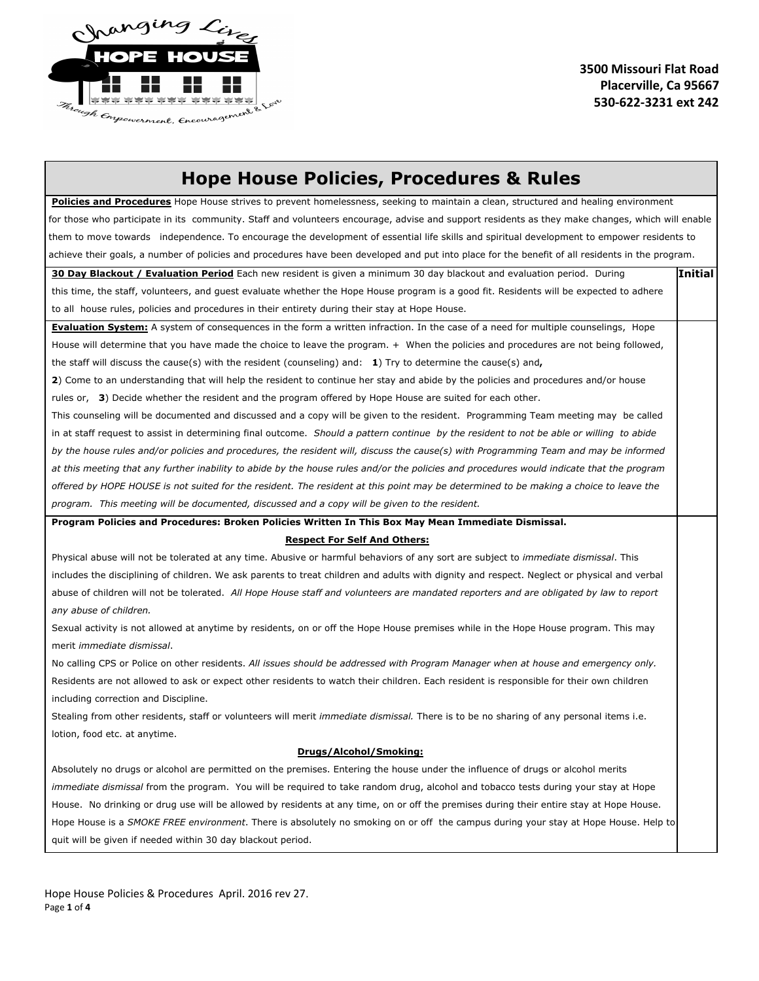

## **Hope House Policies, Procedures & Rules**

Policies and Procedures Hope House strives to prevent homelessness, seeking to maintain a clean, structured and healing environment for those who participate in its community. Staff and volunteers encourage, advise and support residents as they make changes, which will enable them to move towards independence. To encourage the development of essential life skills and spiritual development to empower residents to achieve their goals, a number of policies and procedures have been developed and put into place for the benefit of all residents in the program.

| 30 Day Blackout / Evaluation Period Each new resident is given a minimum 30 day blackout and evaluation period. During                          | <b>Initial</b> |
|-------------------------------------------------------------------------------------------------------------------------------------------------|----------------|
| this time, the staff, volunteers, and quest evaluate whether the Hope House program is a good fit. Residents will be expected to adhere         |                |
| to all house rules, policies and procedures in their entirety during their stay at Hope House.                                                  |                |
| Evaluation System: A system of consequences in the form a written infraction. In the case of a need for multiple counselings, Hope              |                |
| House will determine that you have made the choice to leave the program. + When the policies and procedures are not being followed,             |                |
| the staff will discuss the cause(s) with the resident (counseling) and: $1$ ) Try to determine the cause(s) and,                                |                |
| 2) Come to an understanding that will help the resident to continue her stay and abide by the policies and procedures and/or house              |                |
| rules or, 3) Decide whether the resident and the program offered by Hope House are suited for each other.                                       |                |
| This counseling will be documented and discussed and a copy will be given to the resident. Programming Team meeting may be called               |                |
| in at staff request to assist in determining final outcome. Should a pattern continue by the resident to not be able or willing to abide        |                |
| by the house rules and/or policies and procedures, the resident will, discuss the cause(s) with Programming Team and may be informed            |                |
| at this meeting that any further inability to abide by the house rules and/or the policies and procedures would indicate that the program       |                |
| offered by HOPE HOUSE is not suited for the resident. The resident at this point may be determined to be making a choice to leave the           |                |
| program. This meeting will be documented, discussed and a copy will be given to the resident.                                                   |                |
| Program Policies and Procedures: Broken Policies Written In This Box May Mean Immediate Dismissal.                                              |                |
| <b>Respect For Self And Others:</b>                                                                                                             |                |
| Physical abuse will not be tolerated at any time. Abusive or harmful behaviors of any sort are subject to immediate dismissal. This             |                |
| includes the disciplining of children. We ask parents to treat children and adults with dignity and respect. Neglect or physical and verbal     |                |
| abuse of children will not be tolerated. All Hope House staff and volunteers are mandated reporters and are obligated by law to report          |                |
| any abuse of children.                                                                                                                          |                |
| Sexual activity is not allowed at anytime by residents, on or off the Hope House premises while in the Hope House program. This may             |                |
| merit immediate dismissal.                                                                                                                      |                |
| No calling CPS or Police on other residents. All issues should be addressed with Program Manager when at house and emergency only.              |                |
| Residents are not allowed to ask or expect other residents to watch their children. Each resident is responsible for their own children         |                |
| including correction and Discipline.                                                                                                            |                |
| Stealing from other residents, staff or volunteers will merit <i>immediate dismissal</i> . There is to be no sharing of any personal items i.e. |                |
| lotion, food etc. at anytime.                                                                                                                   |                |
| Drugs/Alcohol/Smoking:                                                                                                                          |                |
| Absolutely no drugs or alcohol are permitted on the premises. Entering the house under the influence of drugs or alcohol merits                 |                |
| <i>immediate dismissal</i> from the program. You will be required to take random drug, alcohol and tobacco tests during your stay at Hope       |                |
| House. No drinking or drug use will be allowed by residents at any time, on or off the premises during their entire stay at Hope House.         |                |
| Hope House is a SMOKE FREE environment. There is absolutely no smoking on or off the campus during your stay at Hope House. Help to             |                |
| quit will be given if needed within 30 day blackout period.                                                                                     |                |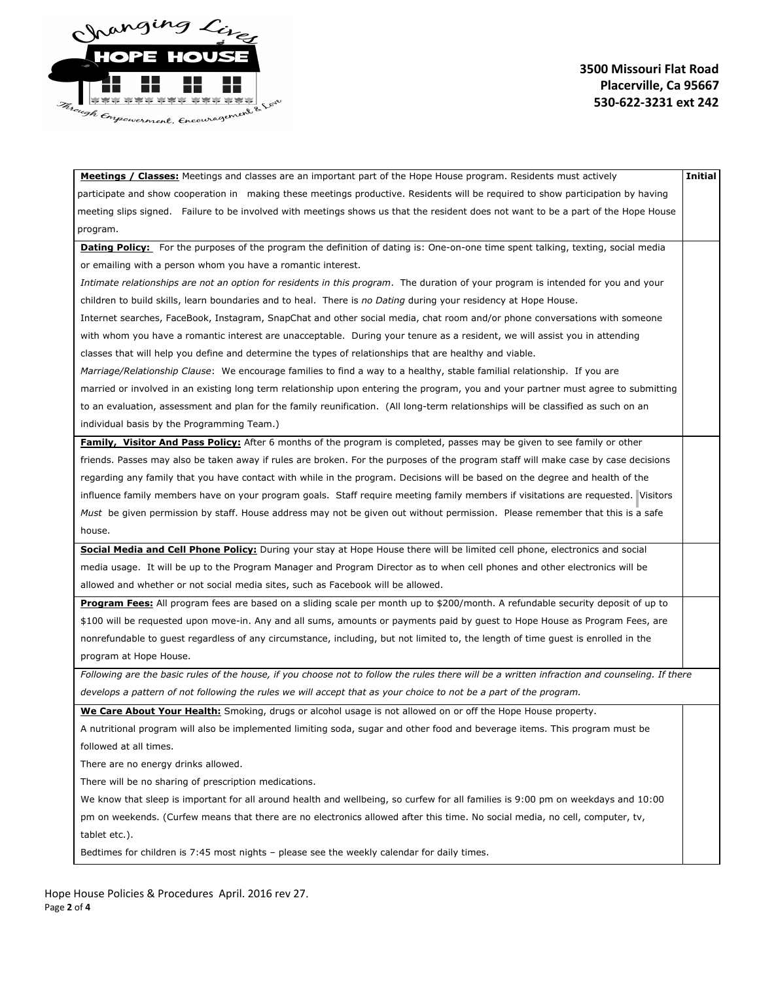

## **3500 Missouri Flat Road Placerville, Ca 95667 5306223231 ext 242**

| Meetings / Classes: Meetings and classes are an important part of the Hope House program. Residents must actively                             | <b>Initial</b> |
|-----------------------------------------------------------------------------------------------------------------------------------------------|----------------|
| participate and show cooperation in making these meetings productive. Residents will be required to show participation by having              |                |
| meeting slips signed. Failure to be involved with meetings shows us that the resident does not want to be a part of the Hope House            |                |
| program.                                                                                                                                      |                |
| Dating Policy: For the purposes of the program the definition of dating is: One-on-one time spent talking, texting, social media              |                |
| or emailing with a person whom you have a romantic interest.                                                                                  |                |
| Intimate relationships are not an option for residents in this program. The duration of your program is intended for you and your             |                |
| children to build skills, learn boundaries and to heal. There is no Dating during your residency at Hope House.                               |                |
| Internet searches, FaceBook, Instagram, SnapChat and other social media, chat room and/or phone conversations with someone                    |                |
| with whom you have a romantic interest are unacceptable. During your tenure as a resident, we will assist you in attending                    |                |
| classes that will help you define and determine the types of relationships that are healthy and viable.                                       |                |
| Marriage/Relationship Clause: We encourage families to find a way to a healthy, stable familial relationship. If you are                      |                |
| married or involved in an existing long term relationship upon entering the program, you and your partner must agree to submitting            |                |
| to an evaluation, assessment and plan for the family reunification. (All long-term relationships will be classified as such on an             |                |
| individual basis by the Programming Team.)                                                                                                    |                |
| Family, Visitor And Pass Policy: After 6 months of the program is completed, passes may be given to see family or other                       |                |
| friends. Passes may also be taken away if rules are broken. For the purposes of the program staff will make case by case decisions            |                |
| regarding any family that you have contact with while in the program. Decisions will be based on the degree and health of the                 |                |
| influence family members have on your program goals. Staff require meeting family members if visitations are requested. Visitors              |                |
| Must be given permission by staff. House address may not be given out without permission. Please remember that this is a safe                 |                |
| house.                                                                                                                                        |                |
| Social Media and Cell Phone Policy: During your stay at Hope House there will be limited cell phone, electronics and social                   |                |
| media usage. It will be up to the Program Manager and Program Director as to when cell phones and other electronics will be                   |                |
| allowed and whether or not social media sites, such as Facebook will be allowed.                                                              |                |
| Program Fees: All program fees are based on a sliding scale per month up to \$200/month. A refundable security deposit of up to               |                |
| \$100 will be requested upon move-in. Any and all sums, amounts or payments paid by quest to Hope House as Program Fees, are                  |                |
| nonrefundable to quest regardless of any circumstance, including, but not limited to, the length of time quest is enrolled in the             |                |
| program at Hope House.                                                                                                                        |                |
| Following are the basic rules of the house, if you choose not to follow the rules there will be a written infraction and counseling. If there |                |
| develops a pattern of not following the rules we will accept that as your choice to not be a part of the program.                             |                |
| We Care About Your Health: Smoking, drugs or alcohol usage is not allowed on or off the Hope House property.                                  |                |
| A nutritional program will also be implemented limiting soda, sugar and other food and beverage items. This program must be                   |                |
| followed at all times.                                                                                                                        |                |
| There are no energy drinks allowed.                                                                                                           |                |

There will be no sharing of prescription medications.

We know that sleep is important for all around health and wellbeing, so curfew for all families is 9:00 pm on weekdays and 10:00 pm on weekends. (Curfew means that there are no electronics allowed after this time. No social media, no cell, computer, tv, tablet etc.).

Bedtimes for children is 7:45 most nights – please see the weekly calendar for daily times.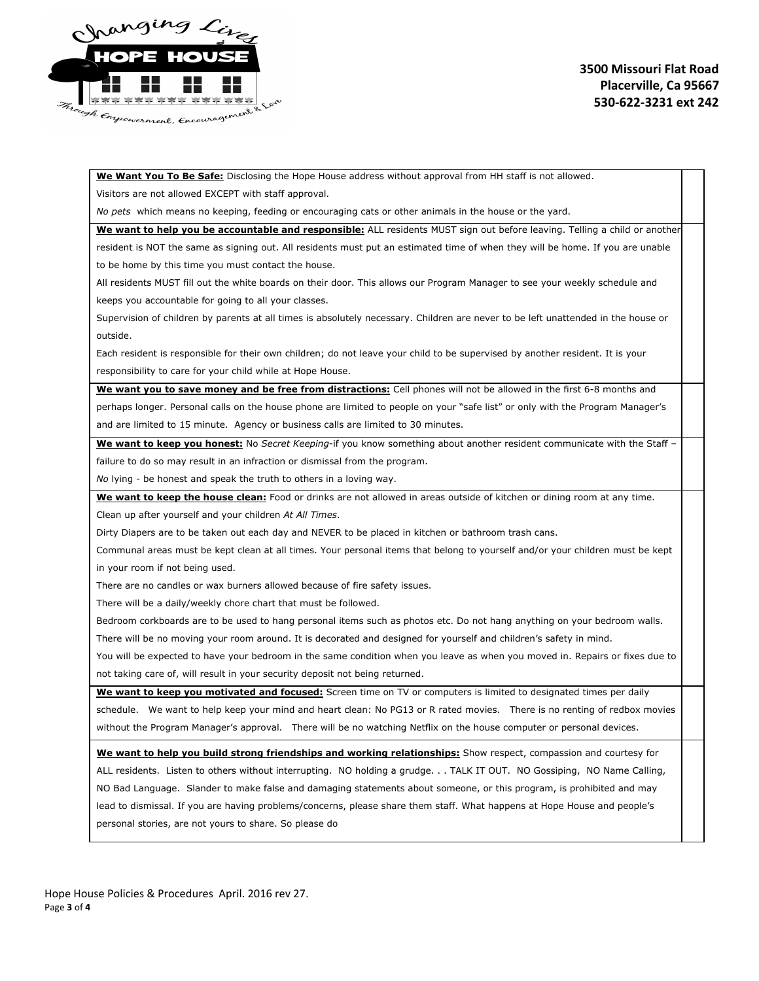

**We Want You To Be Safe:**Disclosing the Hope House address without approval from HH staff is not allowed.

Visitors are not allowed EXCEPT with staff approval.

*No pets* which means no keeping, feeding or encouraging cats or other animals in the house or the yard.

**We want to help you be accountable and responsible:**ALL residents MUST sign out before leaving. Telling a child or another resident is NOT the same as signing out. All residents must put an estimated time of when they will be home. If you are unable to be home by this time you must contact the house.

All residents MUST fill out the white boards on their door. This allows our Program Manager to see your weekly schedule and keeps you accountable for going to all your classes.

Supervision of children by parents at all times is absolutely necessary. Children are never to be left unattended in the house or outside.

Each resident is responsible for their own children; do not leave your child to be supervised by another resident. It is your responsibility to care for your child while at Hope House.

**We want you to save money and be free from distractions:**Cell phones will not be allowed in the first 68 months and perhaps longer. Personal calls on the house phone are limited to people on your "safe list" or only with the Program Manager's and are limited to 15 minute. Agency or business calls are limited to 30 minutes.

**We want to keep you honest:**No *Secret Keeping*if you know something about another resident communicate with the Staff – failure to do so may result in an infraction or dismissal from the program.

*No* lying - be honest and speak the truth to others in a loving way.

**We want to keep the house clean:**Food or drinks are not allowed in areas outside of kitchen or dining room at any time.

Clean up after yourself and your children *At All Times*.

Dirty Diapers are to be taken out each day and NEVER to be placed in kitchen or bathroom trash cans.

Communal areas must be kept clean at all times. Your personal items that belong to yourself and/or your children must be kept in your room if not being used.

There are no candles or wax burners allowed because of fire safety issues.

There will be a daily/weekly chore chart that must be followed.

Bedroom corkboards are to be used to hang personal items such as photos etc. Do not hang anything on your bedroom walls.

There will be no moving your room around. It is decorated and designed for yourself and children's safety in mind.

You will be expected to have your bedroom in the same condition when you leave as when you moved in. Repairs or fixes due to not taking care of, will result in your security deposit not being returned.

**We want to keep you motivated and focused:**Screen time on TV or computers is limited to designated times per daily schedule. We want to help keep your mind and heart clean: No PG13 or R rated movies. There is no renting of redbox movies without the Program Manager's approval. There will be no watching Netflix on the house computer or personal devices.

**We want to help you build strong friendships and working relationships:**Show respect, compassion and courtesy for ALL residents. Listen to others without interrupting. NO holding a grudge. . . TALK IT OUT. NO Gossiping, NO Name Calling, NO Bad Language. Slander to make false and damaging statements about someone, or this program, is prohibited and may lead to dismissal. If you are having problems/concerns, please share them staff. What happens at Hope House and people's personal stories, are not yours to share. So please do